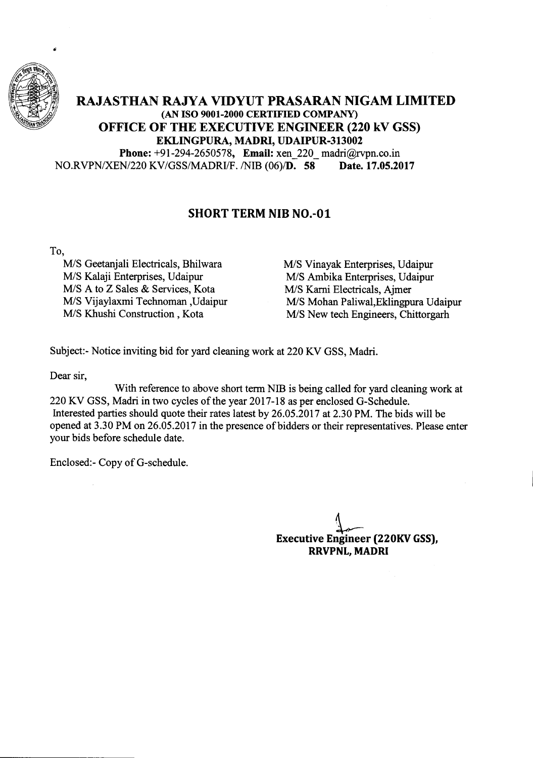

## **RAJASTHAN RAJYA VIDYUT PRASARAN NIGAM LIMITED** (AN **ISO 9001-2000 CERTIFIED COMPANY) OFFICE OF THE EXECUTIVE ENGINEER (220 kV GSS) EKLINGPURA, MADRI, UDAIPUR-313002**

**Phone:** +91-294-2650578, **Email:** xen\_220\_madri@rvpn.co.in *NO.RVPNIXEN/220* KV/GSS/MADRIIF. /NIB *(06)/D.* **58** Date. 17.05.2017

## **SHORT TERM NIB NO.-Ol**

To,

M/S Geetanjali Electricals, Bhilwara *MIS* Kalaji Enterprises, Udaipur *MIS* A to Z Sales & Services, Kota *MIS* Vijaylaxmi Technoman ,Udaipur *MIS* Khushi Construction, Kota

M/S Vinayak Enterprises, Udaipur M/S Ambika Enterprises, Udaipur MIS Karni Electricals, Ajmer M/S Mohan Paliwal, Eklingpura Udaipur M/S New tech Engineers, Chittorgarh

Subject:- Notice inviting bid for yard cleaning work at 220 KV GSS, Madri.

Dear sir,

With reference to above short term NIB is being called for yard cleaning work at 220 KV GSS, Madri in two cycles of the year 2017-18 as per enclosed G-Schedule. Interested parties should quote their rates latest by 26.05.2017 at 2.30 PM. The bids will be opened at 3.30 PM on 26.05.2017 in the presence of bidders or their representatives. Please enter your bids before schedule date.

Enclosed:- Copy of G-schedule.

**Executive Engineer** t~ **(220KV GSS), RRVPNL, MADRI**